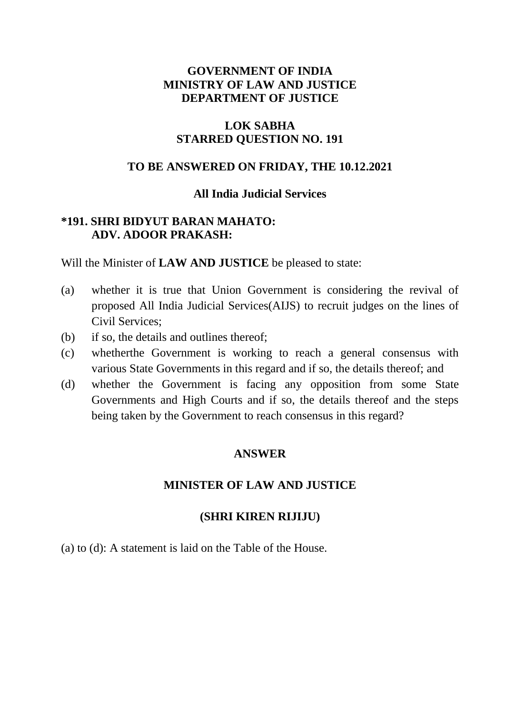## **GOVERNMENT OF INDIA MINISTRY OF LAW AND JUSTICE DEPARTMENT OF JUSTICE**

### **LOK SABHA STARRED QUESTION NO. 191**

#### **TO BE ANSWERED ON FRIDAY, THE 10.12.2021**

#### **All India Judicial Services**

## **\*191. SHRI BIDYUT BARAN MAHATO: ADV. ADOOR PRAKASH:**

Will the Minister of **LAW AND JUSTICE** be pleased to state:

- (a) whether it is true that Union Government is considering the revival of proposed All India Judicial Services(AIJS) to recruit judges on the lines of Civil Services;
- (b) if so, the details and outlines thereof;
- (c) whetherthe Government is working to reach a general consensus with various State Governments in this regard and if so, the details thereof; and
- (d) whether the Government is facing any opposition from some State Governments and High Courts and if so, the details thereof and the steps being taken by the Government to reach consensus in this regard?

## **ANSWER**

#### **MINISTER OF LAW AND JUSTICE**

#### **(SHRI KIREN RIJIJU)**

(a) to (d): A statement is laid on the Table of the House.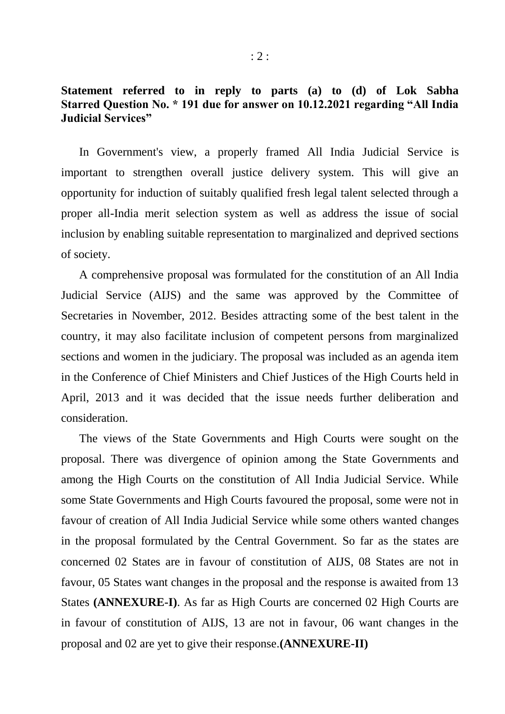#### **Statement referred to in reply to parts (a) to (d) of Lok Sabha Starred Question No. \* 191 due for answer on 10.12.2021 regarding "All India Judicial Services"**

In Government's view, a properly framed All India Judicial Service is important to strengthen overall justice delivery system. This will give an opportunity for induction of suitably qualified fresh legal talent selected through a proper all-India merit selection system as well as address the issue of social inclusion by enabling suitable representation to marginalized and deprived sections of society.

A comprehensive proposal was formulated for the constitution of an All India Judicial Service (AIJS) and the same was approved by the Committee of Secretaries in November, 2012. Besides attracting some of the best talent in the country, it may also facilitate inclusion of competent persons from marginalized sections and women in the judiciary. The proposal was included as an agenda item in the Conference of Chief Ministers and Chief Justices of the High Courts held in April, 2013 and it was decided that the issue needs further deliberation and consideration.

The views of the State Governments and High Courts were sought on the proposal. There was divergence of opinion among the State Governments and among the High Courts on the constitution of All India Judicial Service. While some State Governments and High Courts favoured the proposal, some were not in favour of creation of All India Judicial Service while some others wanted changes in the proposal formulated by the Central Government. So far as the states are concerned 02 States are in favour of constitution of AIJS, 08 States are not in favour, 05 States want changes in the proposal and the response is awaited from 13 States **(ANNEXURE-I)**. As far as High Courts are concerned 02 High Courts are in favour of constitution of AIJS, 13 are not in favour, 06 want changes in the proposal and 02 are yet to give their response.**(ANNEXURE-II)**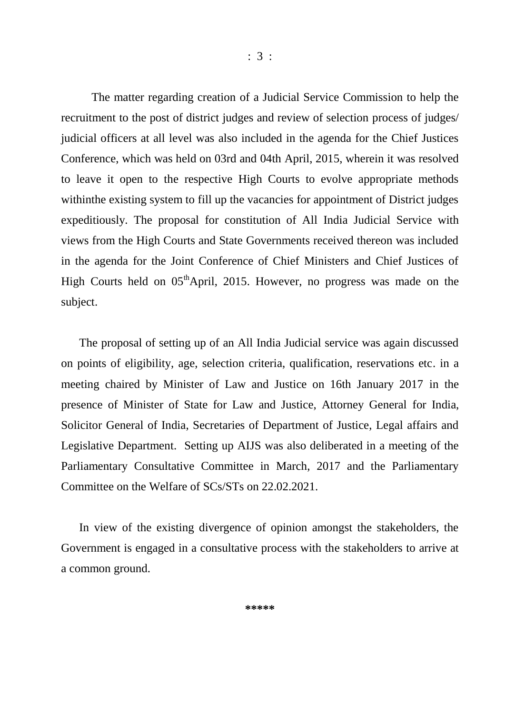The matter regarding creation of a Judicial Service Commission to help the recruitment to the post of district judges and review of selection process of judges/ judicial officers at all level was also included in the agenda for the Chief Justices Conference, which was held on 03rd and 04th April, 2015, wherein it was resolved to leave it open to the respective High Courts to evolve appropriate methods withinthe existing system to fill up the vacancies for appointment of District judges expeditiously. The proposal for constitution of All India Judicial Service with views from the High Courts and State Governments received thereon was included in the agenda for the Joint Conference of Chief Ministers and Chief Justices of High Courts held on  $0.5<sup>th</sup>$ April, 2015. However, no progress was made on the subject.

The proposal of setting up of an All India Judicial service was again discussed on points of eligibility, age, selection criteria, qualification, reservations etc. in a meeting chaired by Minister of Law and Justice on 16th January 2017 in the presence of Minister of State for Law and Justice, Attorney General for India, Solicitor General of India, Secretaries of Department of Justice, Legal affairs and Legislative Department. Setting up AIJS was also deliberated in a meeting of the Parliamentary Consultative Committee in March, 2017 and the Parliamentary Committee on the Welfare of SCs/STs on 22.02.2021.

In view of the existing divergence of opinion amongst the stakeholders, the Government is engaged in a consultative process with the stakeholders to arrive at a common ground.

**\*\*\*\*\***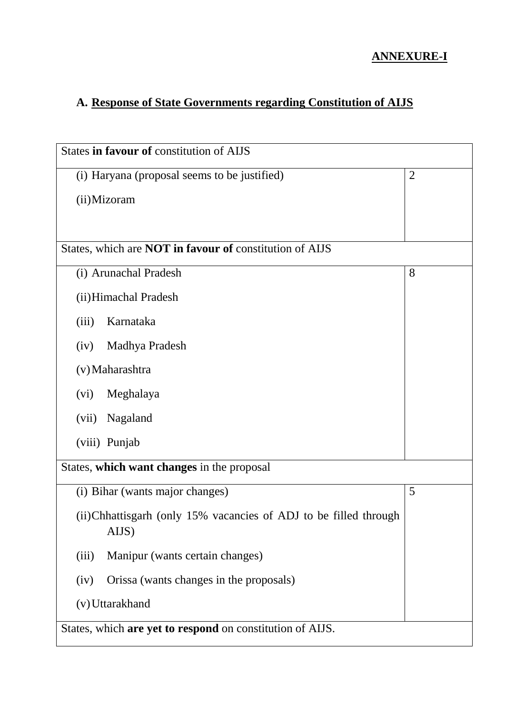## **ANNEXURE-I**

# **A. Response of State Governments regarding Constitution of AIJS**

| States in favour of constitution of AIJS                                   |                |
|----------------------------------------------------------------------------|----------------|
|                                                                            |                |
| (i) Haryana (proposal seems to be justified)                               | $\overline{2}$ |
| (ii) Mizoram                                                               |                |
|                                                                            |                |
| States, which are <b>NOT</b> in favour of constitution of AIJS             |                |
| (i) Arunachal Pradesh                                                      | 8              |
| (ii) Himachal Pradesh                                                      |                |
| Karnataka<br>(iii)                                                         |                |
| Madhya Pradesh<br>(iv)                                                     |                |
| (v) Maharashtra                                                            |                |
| Meghalaya<br>(vi)                                                          |                |
| Nagaland<br>(vii)                                                          |                |
| (viii) Punjab                                                              |                |
| States, which want changes in the proposal                                 |                |
| (i) Bihar (wants major changes)                                            | 5              |
| (ii) Chhattisgarh (only 15% vacancies of ADJ to be filled through<br>AIJS) |                |
| Manipur (wants certain changes)<br>(iii)                                   |                |
| Orissa (wants changes in the proposals)<br>(iv)                            |                |
| (v) Uttarakhand                                                            |                |
| States, which are yet to respond on constitution of AIJS.                  |                |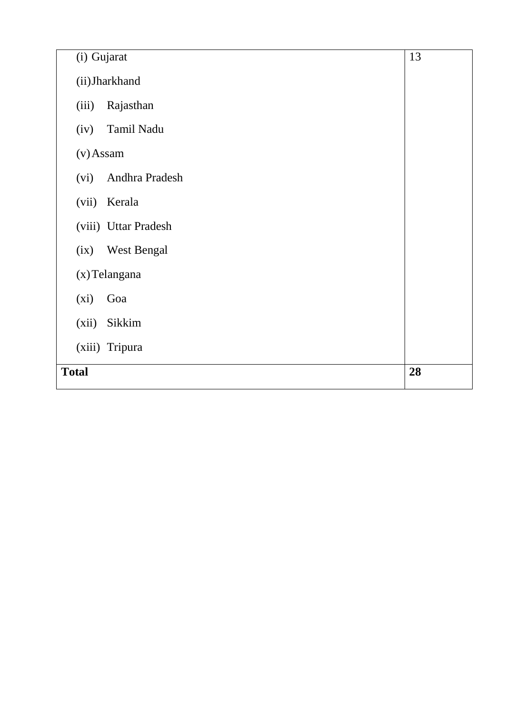| (i) Gujarat                | 13 |
|----------------------------|----|
| (ii) Jharkhand             |    |
| Rajasthan<br>(iii)         |    |
| Tamil Nadu<br>(iv)         |    |
| $(v)$ Assam                |    |
| Andhra Pradesh<br>(vi)     |    |
| (vii)<br>Kerala            |    |
| (viii) Uttar Pradesh       |    |
| <b>West Bengal</b><br>(ix) |    |
| (x) Telangana              |    |
| (xi)<br>Goa                |    |
| (xii)<br>Sikkim            |    |
| (xiii) Tripura             |    |
| <b>Total</b>               | 28 |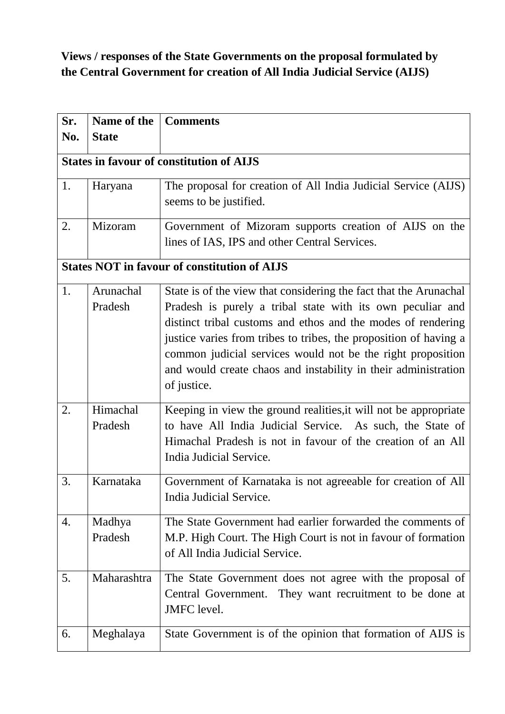# **Views / responses of the State Governments on the proposal formulated by the Central Government for creation of All India Judicial Service (AIJS)**

| Sr. | Name of the  | <b>Comments</b>                                                                                                                  |
|-----|--------------|----------------------------------------------------------------------------------------------------------------------------------|
| No. | <b>State</b> |                                                                                                                                  |
|     |              | <b>States in favour of constitution of AIJS</b>                                                                                  |
| 1.  | Haryana      | The proposal for creation of All India Judicial Service (AIJS)                                                                   |
|     |              | seems to be justified.                                                                                                           |
| 2.  | Mizoram      | Government of Mizoram supports creation of AIJS on the                                                                           |
|     |              | lines of IAS, IPS and other Central Services.                                                                                    |
|     |              | <b>States NOT in favour of constitution of AIJS</b>                                                                              |
| 1.  | Arunachal    | State is of the view that considering the fact that the Arunachal                                                                |
|     | Pradesh      | Pradesh is purely a tribal state with its own peculiar and                                                                       |
|     |              | distinct tribal customs and ethos and the modes of rendering                                                                     |
|     |              | justice varies from tribes to tribes, the proposition of having a<br>common judicial services would not be the right proposition |
|     |              | and would create chaos and instability in their administration                                                                   |
|     |              | of justice.                                                                                                                      |
| 2.  | Himachal     | Keeping in view the ground realities, it will not be appropriate                                                                 |
|     | Pradesh      | to have All India Judicial Service. As such, the State of                                                                        |
|     |              | Himachal Pradesh is not in favour of the creation of an All                                                                      |
|     |              | India Judicial Service.                                                                                                          |
| 3.  | Karnataka    | Government of Karnataka is not agreeable for creation of All                                                                     |
|     |              | India Judicial Service.                                                                                                          |
| 4.  | Madhya       | The State Government had earlier forwarded the comments of                                                                       |
|     | Pradesh      | M.P. High Court. The High Court is not in favour of formation                                                                    |
|     |              | of All India Judicial Service.                                                                                                   |
| 5.  | Maharashtra  | The State Government does not agree with the proposal of                                                                         |
|     |              | Central Government. They want recruitment to be done at                                                                          |
|     |              | JMFC level.                                                                                                                      |
| 6.  | Meghalaya    | State Government is of the opinion that formation of AIJS is                                                                     |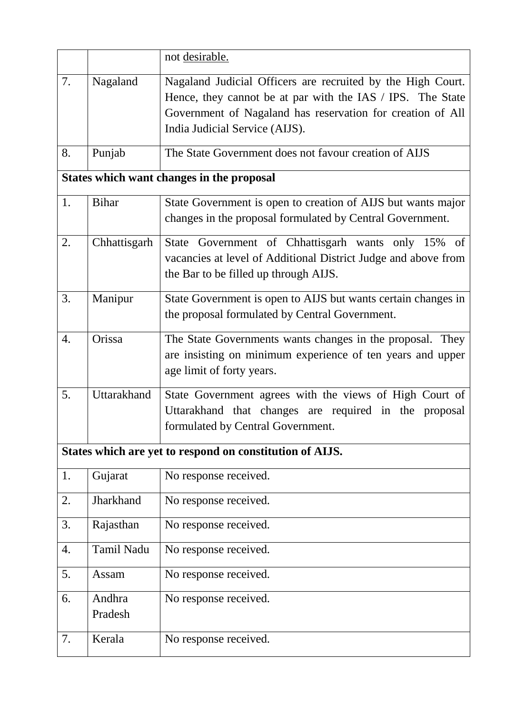|    |                   | not desirable.                                                                                                                                                                                                            |
|----|-------------------|---------------------------------------------------------------------------------------------------------------------------------------------------------------------------------------------------------------------------|
| 7. | Nagaland          | Nagaland Judicial Officers are recruited by the High Court.<br>Hence, they cannot be at par with the IAS / IPS. The State<br>Government of Nagaland has reservation for creation of All<br>India Judicial Service (AIJS). |
| 8. | Punjab            | The State Government does not favour creation of AIJS                                                                                                                                                                     |
|    |                   | <b>States which want changes in the proposal</b>                                                                                                                                                                          |
| 1. | <b>Bihar</b>      | State Government is open to creation of AIJS but wants major<br>changes in the proposal formulated by Central Government.                                                                                                 |
| 2. | Chhattisgarh      | State Government of Chhattisgarh wants only 15% of<br>vacancies at level of Additional District Judge and above from<br>the Bar to be filled up through AIJS.                                                             |
| 3. | Manipur           | State Government is open to AIJS but wants certain changes in<br>the proposal formulated by Central Government.                                                                                                           |
| 4. | Orissa            | The State Governments wants changes in the proposal. They<br>are insisting on minimum experience of ten years and upper<br>age limit of forty years.                                                                      |
| 5. | Uttarakhand       | State Government agrees with the views of High Court of<br>Uttarakhand that changes are required in the proposal<br>formulated by Central Government.                                                                     |
|    |                   | States which are yet to respond on constitution of AIJS.                                                                                                                                                                  |
| 1. | Gujarat           | No response received.                                                                                                                                                                                                     |
| 2. | Jharkhand         | No response received.                                                                                                                                                                                                     |
| 3. | Rajasthan         | No response received.                                                                                                                                                                                                     |
| 4. | Tamil Nadu        | No response received.                                                                                                                                                                                                     |
| 5. | Assam             | No response received.                                                                                                                                                                                                     |
| 6. | Andhra<br>Pradesh | No response received.                                                                                                                                                                                                     |
| 7. | Kerala            | No response received.                                                                                                                                                                                                     |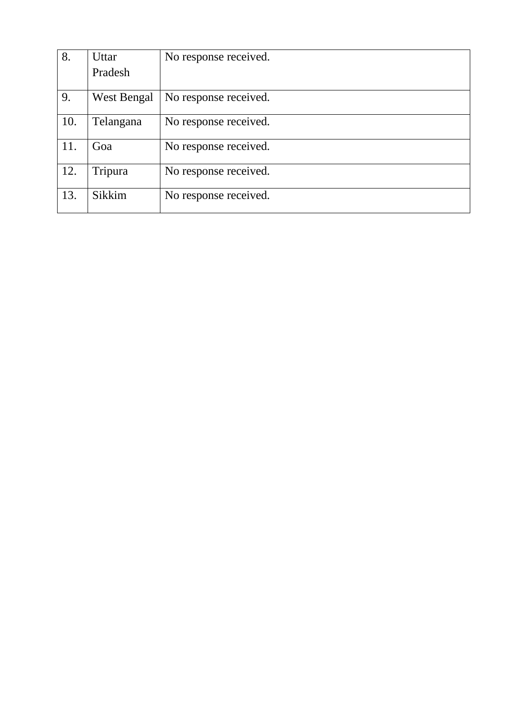| 8.  | Uttar              | No response received. |
|-----|--------------------|-----------------------|
|     | Pradesh            |                       |
| 9.  | <b>West Bengal</b> | No response received. |
| 10. | Telangana          | No response received. |
| 11. | Goa                | No response received. |
| 12. | Tripura            | No response received. |
| 13. | Sikkim             | No response received. |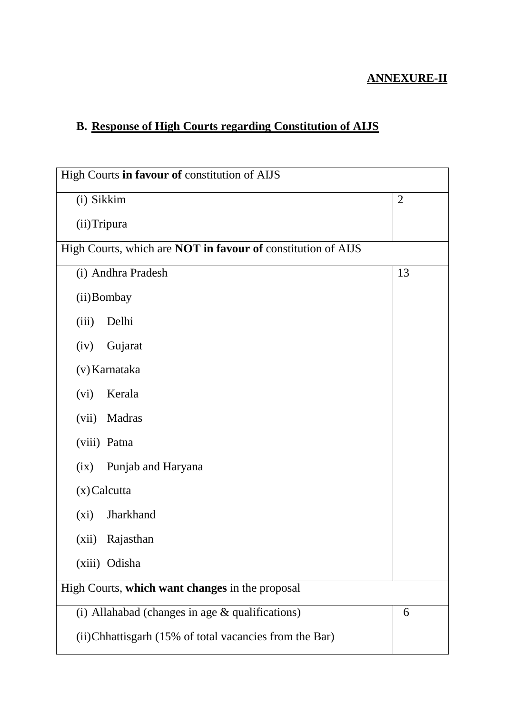## **ANNEXURE-II**

# **B. Response of High Courts regarding Constitution of AIJS**

| High Courts in favour of constitution of AIJS                       |    |  |
|---------------------------------------------------------------------|----|--|
| (i) Sikkim<br>$\mathfrak{2}$                                        |    |  |
|                                                                     |    |  |
| (ii) Tripura                                                        |    |  |
| High Courts, which are <b>NOT</b> in favour of constitution of AIJS |    |  |
| (i) Andhra Pradesh                                                  | 13 |  |
| (ii) Bombay                                                         |    |  |
| Delhi<br>(iii)                                                      |    |  |
| (iv)<br>Gujarat                                                     |    |  |
| (v) Karnataka                                                       |    |  |
| Kerala<br>(vi)                                                      |    |  |
| (vii)<br>Madras                                                     |    |  |
| (viii) Patna                                                        |    |  |
| (ix)<br>Punjab and Haryana                                          |    |  |
| $(x)$ Calcutta                                                      |    |  |
| Jharkhand<br>$(x_i)$                                                |    |  |
| (xii)<br>Rajasthan                                                  |    |  |
| (xiii) Odisha                                                       |    |  |
| High Courts, which want changes in the proposal                     |    |  |
| (i) Allahabad (changes in age $&$ qualifications)                   | 6  |  |
| (ii) Chhattisgarh (15% of total vacancies from the Bar)             |    |  |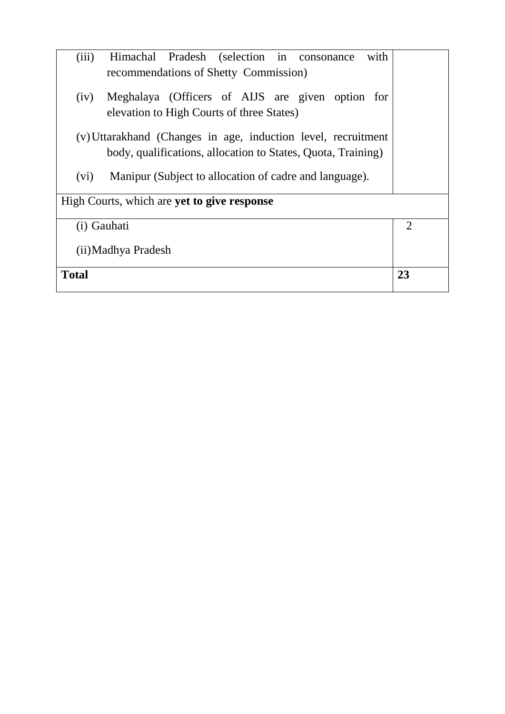| Himachal Pradesh (selection in consonance<br>with<br>(iii)     |                |
|----------------------------------------------------------------|----------------|
| recommendations of Shetty Commission)                          |                |
| Meghalaya (Officers of AIJS are given option for<br>(iv)       |                |
| elevation to High Courts of three States)                      |                |
| (v) Uttarakhand (Changes in age, induction level, recruitment  |                |
| body, qualifications, allocation to States, Quota, Training)   |                |
| Manipur (Subject to allocation of cadre and language).<br>(vi) |                |
| High Courts, which are <b>yet to give response</b>             |                |
| (i) Gauhati                                                    | $\overline{2}$ |
| (ii) Madhya Pradesh                                            |                |
| <b>Total</b>                                                   | 23             |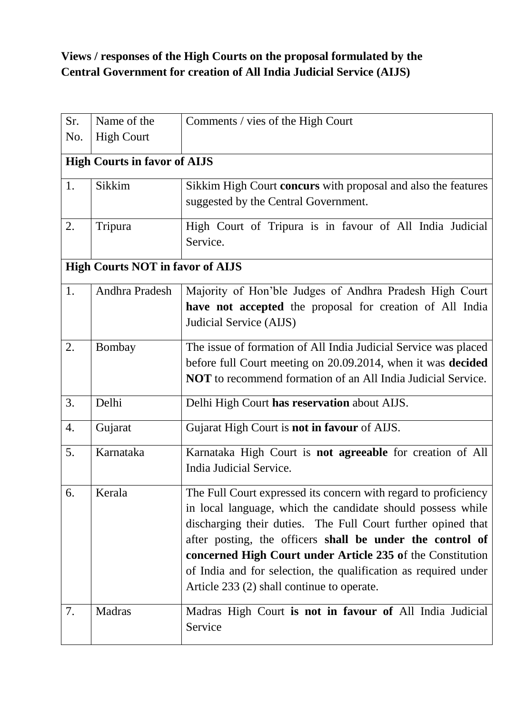# **Views / responses of the High Courts on the proposal formulated by the Central Government for creation of All India Judicial Service (AIJS)**

| Sr. | Name of the                             | Comments / vies of the High Court                                                                                                                                                                                                                                                                                                                                                                                                          |  |
|-----|-----------------------------------------|--------------------------------------------------------------------------------------------------------------------------------------------------------------------------------------------------------------------------------------------------------------------------------------------------------------------------------------------------------------------------------------------------------------------------------------------|--|
| No. | <b>High Court</b>                       |                                                                                                                                                                                                                                                                                                                                                                                                                                            |  |
|     | <b>High Courts in favor of AIJS</b>     |                                                                                                                                                                                                                                                                                                                                                                                                                                            |  |
| 1.  | Sikkim                                  | Sikkim High Court concurs with proposal and also the features<br>suggested by the Central Government.                                                                                                                                                                                                                                                                                                                                      |  |
| 2.  | Tripura                                 | High Court of Tripura is in favour of All India Judicial<br>Service.                                                                                                                                                                                                                                                                                                                                                                       |  |
|     | <b>High Courts NOT in favor of AIJS</b> |                                                                                                                                                                                                                                                                                                                                                                                                                                            |  |
| 1.  | Andhra Pradesh                          | Majority of Hon'ble Judges of Andhra Pradesh High Court<br>have not accepted the proposal for creation of All India<br>Judicial Service (AIJS)                                                                                                                                                                                                                                                                                             |  |
| 2.  | Bombay                                  | The issue of formation of All India Judicial Service was placed<br>before full Court meeting on 20.09.2014, when it was decided<br><b>NOT</b> to recommend formation of an All India Judicial Service.                                                                                                                                                                                                                                     |  |
| 3.  | Delhi                                   | Delhi High Court has reservation about AIJS.                                                                                                                                                                                                                                                                                                                                                                                               |  |
| 4.  | Gujarat                                 | Gujarat High Court is not in favour of AIJS.                                                                                                                                                                                                                                                                                                                                                                                               |  |
| 5.  | Karnataka                               | Karnataka High Court is <b>not agreeable</b> for creation of All<br>India Judicial Service.                                                                                                                                                                                                                                                                                                                                                |  |
| 6.  | Kerala                                  | The Full Court expressed its concern with regard to proficiency<br>in local language, which the candidate should possess while<br>discharging their duties. The Full Court further opined that<br>after posting, the officers shall be under the control of<br>concerned High Court under Article 235 of the Constitution<br>of India and for selection, the qualification as required under<br>Article 233 (2) shall continue to operate. |  |
| 7.  | Madras                                  | Madras High Court is not in favour of All India Judicial<br>Service                                                                                                                                                                                                                                                                                                                                                                        |  |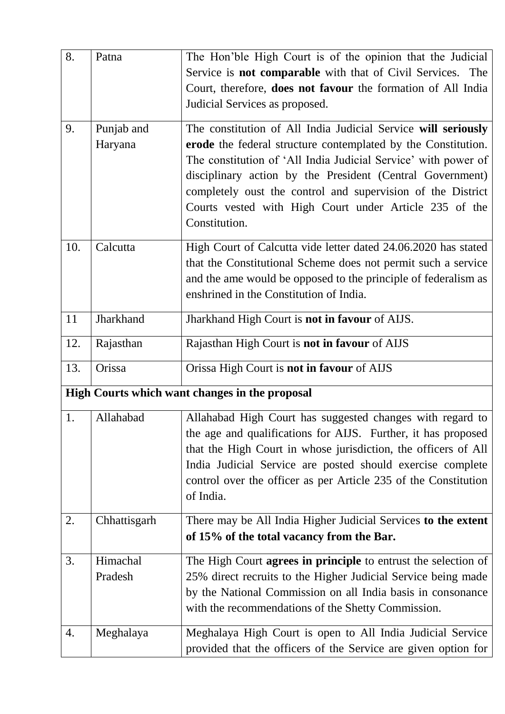| 8.  | Patna        | The Hon'ble High Court is of the opinion that the Judicial            |
|-----|--------------|-----------------------------------------------------------------------|
|     |              | Service is <b>not comparable</b> with that of Civil Services. The     |
|     |              | Court, therefore, <b>does not favour</b> the formation of All India   |
|     |              | Judicial Services as proposed.                                        |
| 9.  | Punjab and   | The constitution of All India Judicial Service will seriously         |
|     | Haryana      | erode the federal structure contemplated by the Constitution.         |
|     |              | The constitution of 'All India Judicial Service' with power of        |
|     |              | disciplinary action by the President (Central Government)             |
|     |              | completely oust the control and supervision of the District           |
|     |              | Courts vested with High Court under Article 235 of the                |
|     |              | Constitution.                                                         |
| 10. | Calcutta     | High Court of Calcutta vide letter dated 24.06.2020 has stated        |
|     |              | that the Constitutional Scheme does not permit such a service         |
|     |              | and the ame would be opposed to the principle of federalism as        |
|     |              | enshrined in the Constitution of India.                               |
| 11  | Jharkhand    | Jharkhand High Court is not in favour of AIJS.                        |
| 12. | Rajasthan    | Rajasthan High Court is not in favour of AIJS                         |
| 13. | Orissa       | Orissa High Court is not in favour of AIJS                            |
|     |              | High Courts which want changes in the proposal                        |
| 1.  | Allahabad    | Allahabad High Court has suggested changes with regard to             |
|     |              | the age and qualifications for AIJS. Further, it has proposed         |
|     |              | that the High Court in whose jurisdiction, the officers of All        |
|     |              | India Judicial Service are posted should exercise complete            |
|     |              | control over the officer as per Article 235 of the Constitution       |
|     |              | of India.                                                             |
| 2.  | Chhattisgarh | There may be All India Higher Judicial Services to the extent         |
|     |              | of 15% of the total vacancy from the Bar.                             |
| 3.  | Himachal     | The High Court <b>agrees in principle</b> to entrust the selection of |
|     | Pradesh      | 25% direct recruits to the Higher Judicial Service being made         |
|     |              | by the National Commission on all India basis in consonance           |
|     |              | with the recommendations of the Shetty Commission.                    |
| 4.  | Meghalaya    | Meghalaya High Court is open to All India Judicial Service            |
|     |              | provided that the officers of the Service are given option for        |